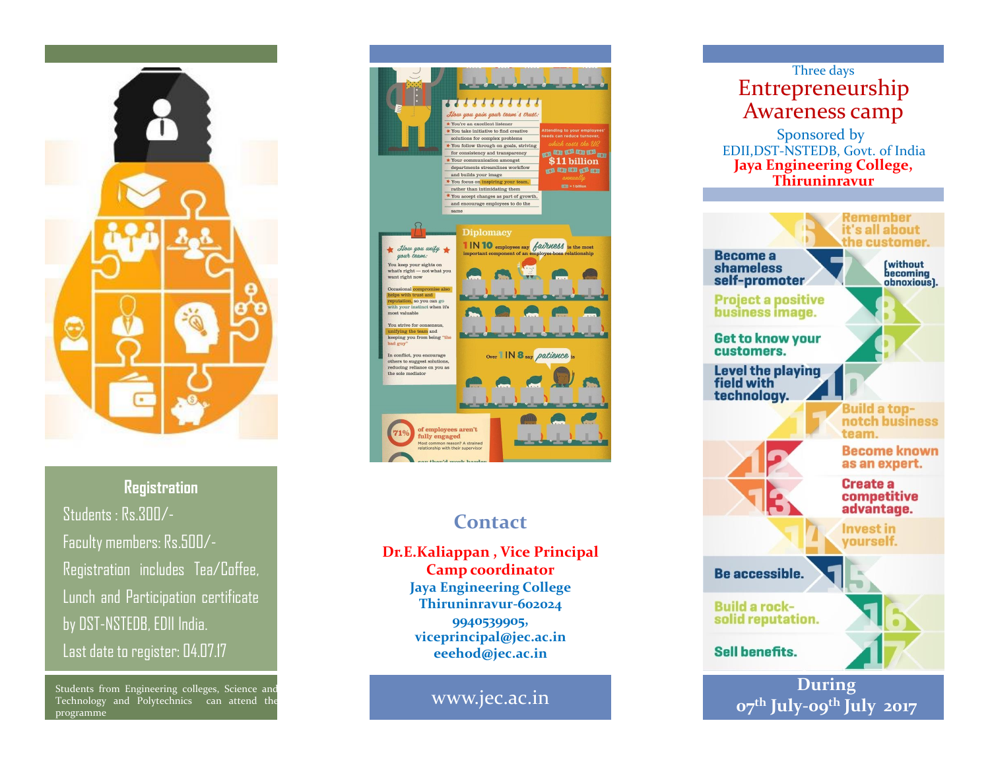

**Registration** Students : Rs.300/- Faculty members: Rs.500/- Registration includes Tea/Coffee, Lunch and Participation certificate by DST-NSTEDB, EDII India. Last date to register: 04.07.17

Students from Engineering colleges, Science and Technology and Polytechnics can attend the programme



# **Contact**

**Dr.E.Kaliappan , Vice Principal Camp coordinator Jaya Engineering College Thiruninravur-602024 9940539905, viceprincipal@jec.ac.in eeehod@jec.ac.in**

www.jec.ac.in

### Three days Entrepreneurship Awareness camp Sponsored by EDII,DST-NSTEDB, Govt. of India **Jaya Engineering College, Thiruninravur** Remember it's all about the customer. **Become a [without]** shameless becoming self-promoter obnoxious]. **Project a positive** business image. **Get to know your** customers. Level the playing field with technology. **Build a top**notch business team. **Become known** as an expert. **Create a** competitive advantage. **Invest in** yourself. Be accessible. **Build a rock**solid reputation. **Sell benefits. During 07th July-09th July 2017**